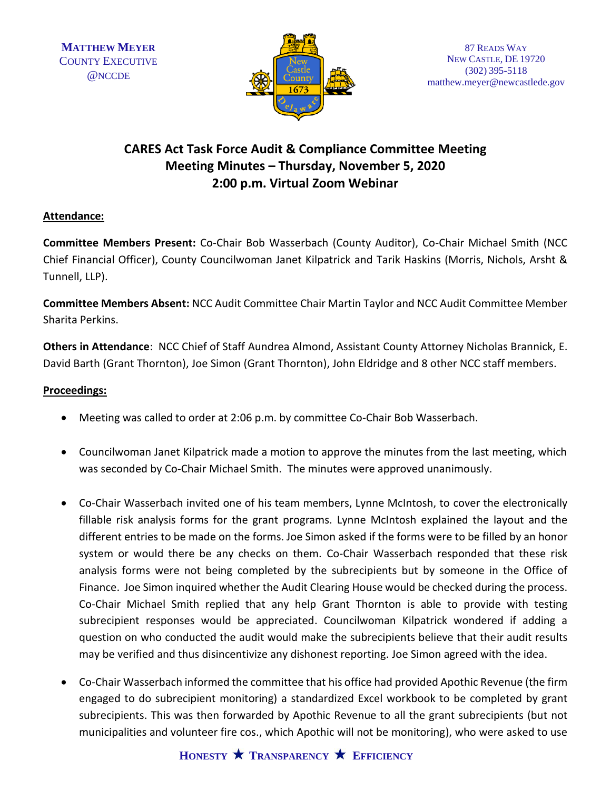

## **CARES Act Task Force Audit & Compliance Committee Meeting Meeting Minutes – Thursday, November 5, 2020 2:00 p.m. Virtual Zoom Webinar**

## **Attendance:**

**Committee Members Present:** Co-Chair Bob Wasserbach (County Auditor), Co-Chair Michael Smith (NCC Chief Financial Officer), County Councilwoman Janet Kilpatrick and Tarik Haskins (Morris, Nichols, Arsht & Tunnell, LLP).

**Committee Members Absent:** NCC Audit Committee Chair Martin Taylor and NCC Audit Committee Member Sharita Perkins.

**Others in Attendance**: NCC Chief of Staff Aundrea Almond, Assistant County Attorney Nicholas Brannick, E. David Barth (Grant Thornton), Joe Simon (Grant Thornton), John Eldridge and 8 other NCC staff members.

## **Proceedings:**

- Meeting was called to order at 2:06 p.m. by committee Co-Chair Bob Wasserbach.
- Councilwoman Janet Kilpatrick made a motion to approve the minutes from the last meeting, which was seconded by Co-Chair Michael Smith. The minutes were approved unanimously.
- Co-Chair Wasserbach invited one of his team members, Lynne McIntosh, to cover the electronically fillable risk analysis forms for the grant programs. Lynne McIntosh explained the layout and the different entries to be made on the forms. Joe Simon asked if the forms were to be filled by an honor system or would there be any checks on them. Co-Chair Wasserbach responded that these risk analysis forms were not being completed by the subrecipients but by someone in the Office of Finance. Joe Simon inquired whether the Audit Clearing House would be checked during the process. Co-Chair Michael Smith replied that any help Grant Thornton is able to provide with testing subrecipient responses would be appreciated. Councilwoman Kilpatrick wondered if adding a question on who conducted the audit would make the subrecipients believe that their audit results may be verified and thus disincentivize any dishonest reporting. Joe Simon agreed with the idea.
- Co-Chair Wasserbach informed the committee that his office had provided Apothic Revenue (the firm engaged to do subrecipient monitoring) a standardized Excel workbook to be completed by grant subrecipients. This was then forwarded by Apothic Revenue to all the grant subrecipients (but not municipalities and volunteer fire cos., which Apothic will not be monitoring), who were asked to use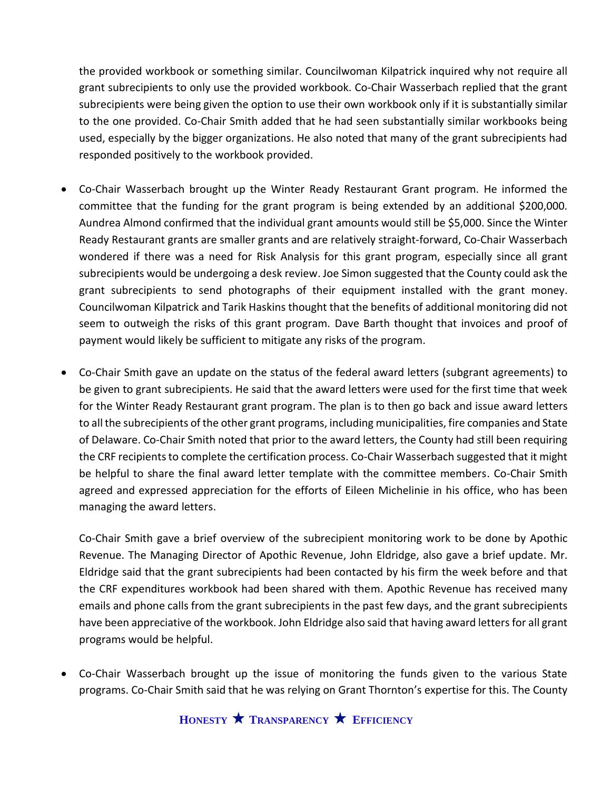the provided workbook or something similar. Councilwoman Kilpatrick inquired why not require all grant subrecipients to only use the provided workbook. Co-Chair Wasserbach replied that the grant subrecipients were being given the option to use their own workbook only if it is substantially similar to the one provided. Co-Chair Smith added that he had seen substantially similar workbooks being used, especially by the bigger organizations. He also noted that many of the grant subrecipients had responded positively to the workbook provided.

- Co-Chair Wasserbach brought up the Winter Ready Restaurant Grant program. He informed the committee that the funding for the grant program is being extended by an additional \$200,000. Aundrea Almond confirmed that the individual grant amounts would still be \$5,000. Since the Winter Ready Restaurant grants are smaller grants and are relatively straight-forward, Co-Chair Wasserbach wondered if there was a need for Risk Analysis for this grant program, especially since all grant subrecipients would be undergoing a desk review. Joe Simon suggested that the County could ask the grant subrecipients to send photographs of their equipment installed with the grant money. Councilwoman Kilpatrick and Tarik Haskins thought that the benefits of additional monitoring did not seem to outweigh the risks of this grant program. Dave Barth thought that invoices and proof of payment would likely be sufficient to mitigate any risks of the program.
- Co-Chair Smith gave an update on the status of the federal award letters (subgrant agreements) to be given to grant subrecipients. He said that the award letters were used for the first time that week for the Winter Ready Restaurant grant program. The plan is to then go back and issue award letters to all the subrecipients of the other grant programs, including municipalities, fire companies and State of Delaware. Co-Chair Smith noted that prior to the award letters, the County had still been requiring the CRF recipients to complete the certification process. Co-Chair Wasserbach suggested that it might be helpful to share the final award letter template with the committee members. Co-Chair Smith agreed and expressed appreciation for the efforts of Eileen Michelinie in his office, who has been managing the award letters.

Co-Chair Smith gave a brief overview of the subrecipient monitoring work to be done by Apothic Revenue. The Managing Director of Apothic Revenue, John Eldridge, also gave a brief update. Mr. Eldridge said that the grant subrecipients had been contacted by his firm the week before and that the CRF expenditures workbook had been shared with them. Apothic Revenue has received many emails and phone calls from the grant subrecipients in the past few days, and the grant subrecipients have been appreciative of the workbook. John Eldridge also said that having award letters for all grant programs would be helpful.

• Co-Chair Wasserbach brought up the issue of monitoring the funds given to the various State programs. Co-Chair Smith said that he was relying on Grant Thornton's expertise for this. The County

**HONESTY TRANSPARENCY EFFICIENCY**